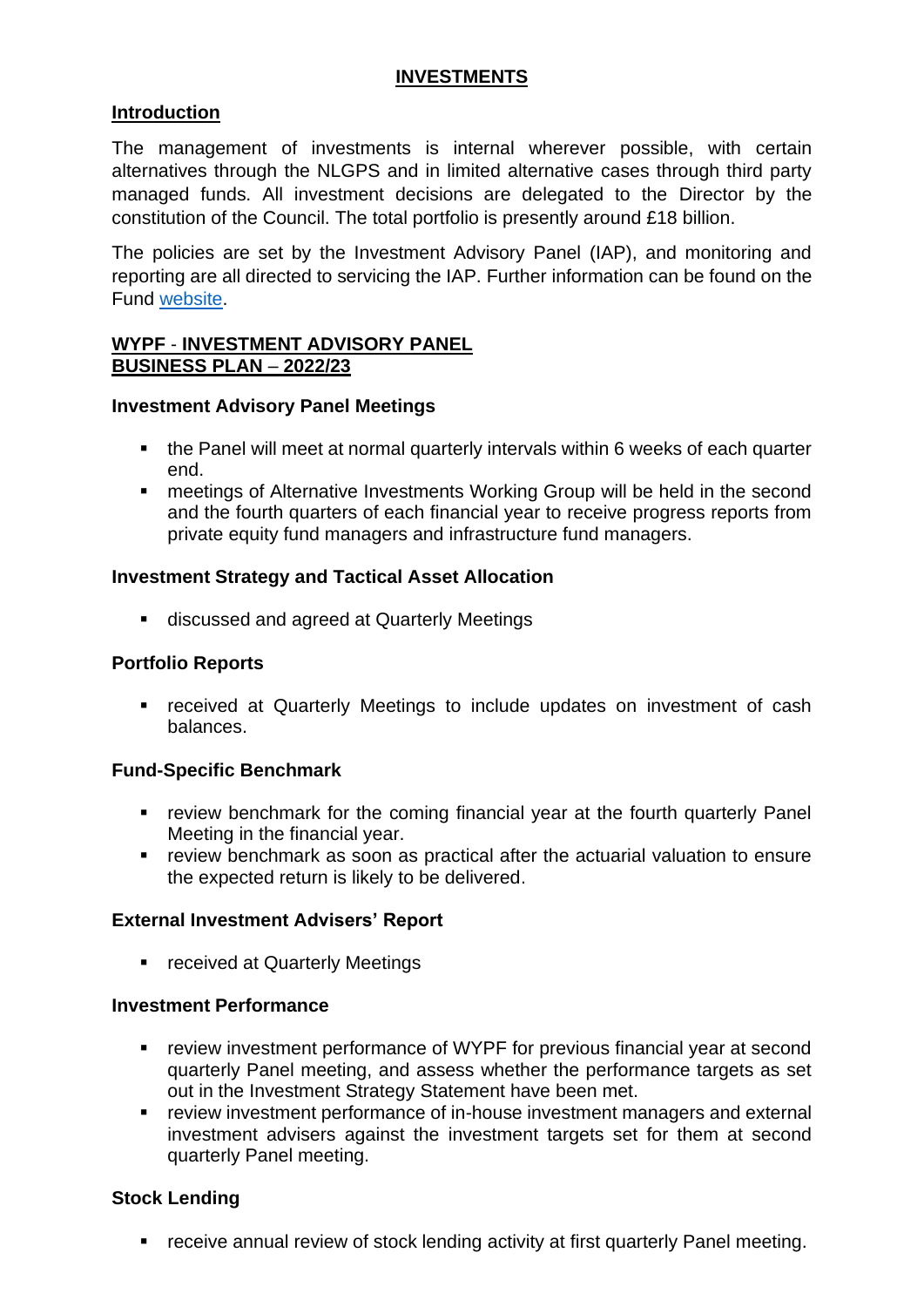### **INVESTMENTS**

# **Introduction**

The management of investments is internal wherever possible, with certain alternatives through the NLGPS and in limited alternative cases through third party managed funds. All investment decisions are delegated to the Director by the constitution of the Council. The total portfolio is presently around £18 billion.

The policies are set by the Investment Advisory Panel (IAP), and monitoring and reporting are all directed to servicing the IAP. Further information can be found on the Fund [website.](https://www.wypf.org.uk/)

## **WYPF** - **INVESTMENT ADVISORY PANEL BUSINESS PLAN** – **2022/23**

### **Investment Advisory Panel Meetings**

- the Panel will meet at normal quarterly intervals within 6 weeks of each quarter end.
- meetings of Alternative Investments Working Group will be held in the second and the fourth quarters of each financial year to receive progress reports from private equity fund managers and infrastructure fund managers.

## **Investment Strategy and Tactical Asset Allocation**

■ discussed and agreed at Quarterly Meetings

# **Portfolio Reports**

■ received at Quarterly Meetings to include updates on investment of cash balances.

### **Fund-Specific Benchmark**

- review benchmark for the coming financial year at the fourth quarterly Panel Meeting in the financial year.
- **EXP** review benchmark as soon as practical after the actuarial valuation to ensure the expected return is likely to be delivered.

# **External Investment Advisers' Report**

■ received at Quarterly Meetings

### **Investment Performance**

- review investment performance of WYPF for previous financial year at second quarterly Panel meeting, and assess whether the performance targets as set out in the Investment Strategy Statement have been met.
- review investment performance of in-house investment managers and external investment advisers against the investment targets set for them at second quarterly Panel meeting.

### **Stock Lending**

■ receive annual review of stock lending activity at first quarterly Panel meeting.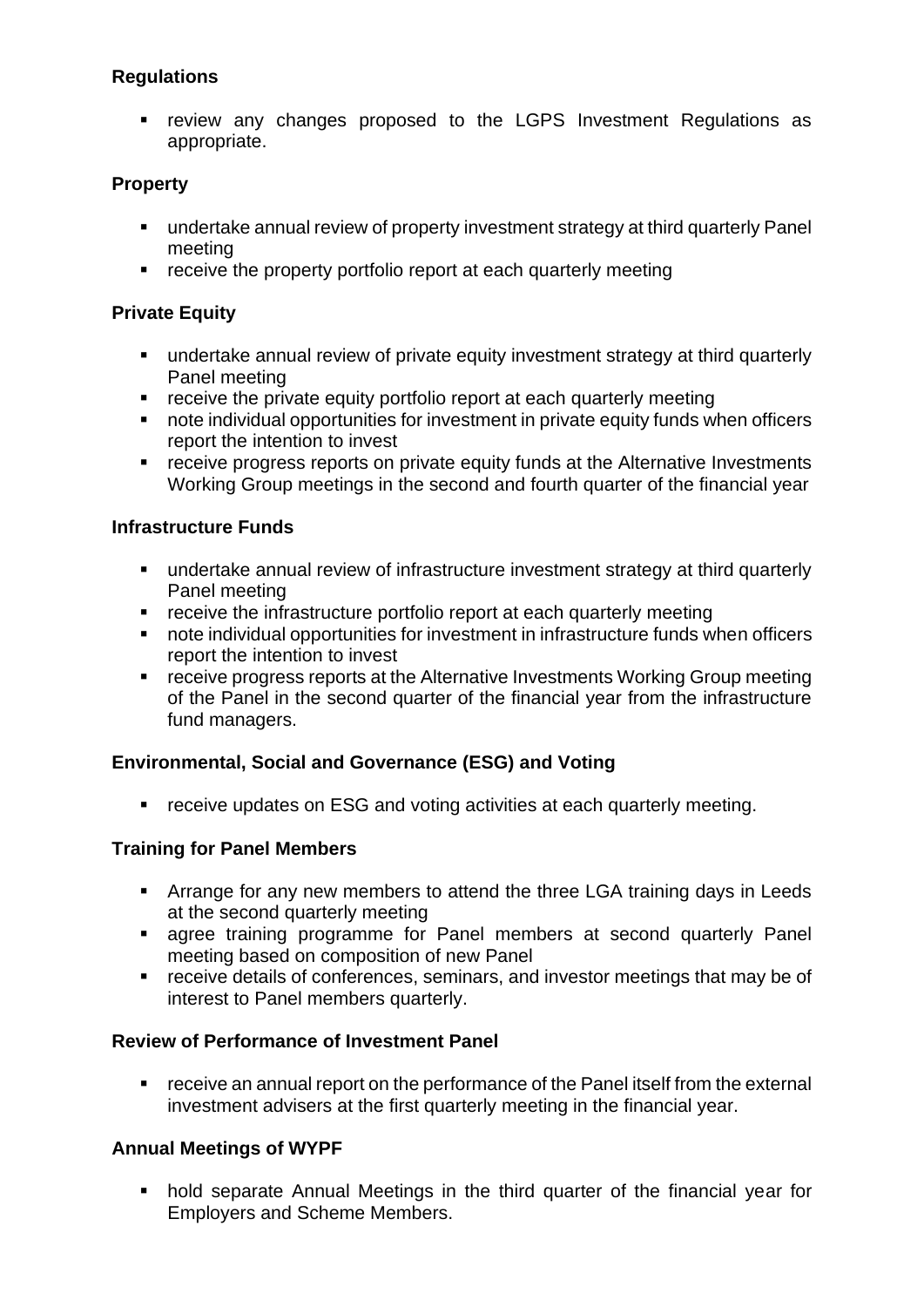# **Regulations**

■ review any changes proposed to the LGPS Investment Regulations as appropriate.

# **Property**

- undertake annual review of property investment strategy at third quarterly Panel meeting
- **•** receive the property portfolio report at each quarterly meeting

# **Private Equity**

- undertake annual review of private equity investment strategy at third quarterly Panel meeting
- receive the private equity portfolio report at each quarterly meeting
- note individual opportunities for investment in private equity funds when officers report the intention to invest
- receive progress reports on private equity funds at the Alternative Investments Working Group meetings in the second and fourth quarter of the financial year

### **Infrastructure Funds**

- undertake annual review of infrastructure investment strategy at third quarterly Panel meeting
- receive the infrastructure portfolio report at each quarterly meeting
- note individual opportunities for investment in infrastructure funds when officers report the intention to invest
- receive progress reports at the Alternative Investments Working Group meeting of the Panel in the second quarter of the financial year from the infrastructure fund managers.

### **Environmental, Social and Governance (ESG) and Voting**

■ receive updates on ESG and voting activities at each quarterly meeting.

### **Training for Panel Members**

- **EXTERN** Arrange for any new members to attend the three LGA training days in Leeds at the second quarterly meeting
- agree training programme for Panel members at second quarterly Panel meeting based on composition of new Panel
- receive details of conferences, seminars, and investor meetings that may be of interest to Panel members quarterly.

### **Review of Performance of Investment Panel**

■ receive an annual report on the performance of the Panel itself from the external investment advisers at the first quarterly meeting in the financial year.

### **Annual Meetings of WYPF**

■ hold separate Annual Meetings in the third quarter of the financial year for Employers and Scheme Members.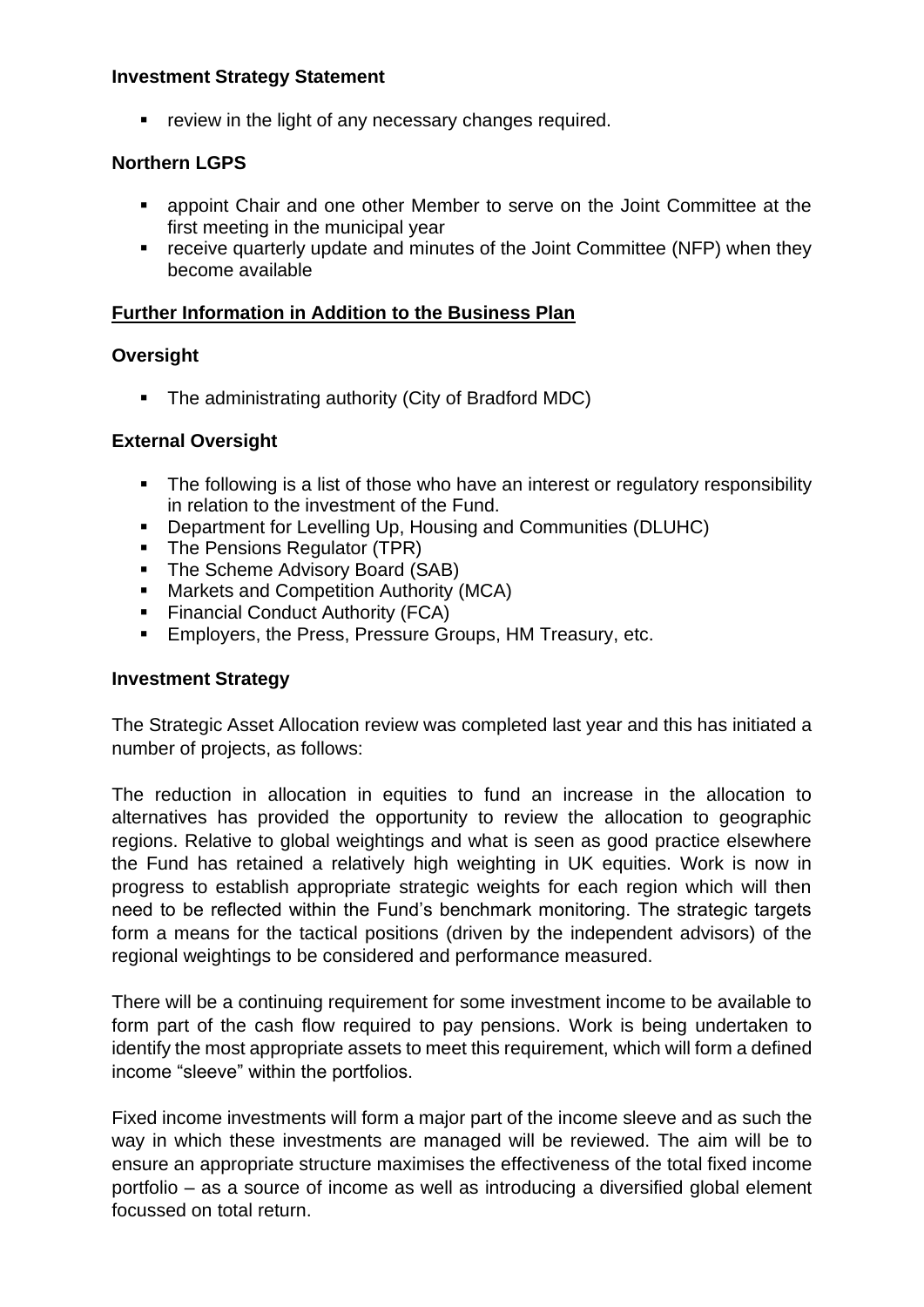### **Investment Strategy Statement**

■ review in the light of any necessary changes required.

### **Northern LGPS**

- appoint Chair and one other Member to serve on the Joint Committee at the first meeting in the municipal year
- receive quarterly update and minutes of the Joint Committee (NFP) when they become available

#### **Further Information in Addition to the Business Plan**

#### **Oversight**

■ The administrating authority (City of Bradford MDC)

#### **External Oversight**

- The following is a list of those who have an interest or regulatory responsibility in relation to the investment of the Fund.
- Department for Levelling Up, Housing and Communities (DLUHC)
- The Pensions Regulator (TPR)
- The Scheme Advisory Board (SAB)
- Markets and Competition Authority (MCA)
- Financial Conduct Authority (FCA)
- Employers, the Press, Pressure Groups, HM Treasury, etc.

#### **Investment Strategy**

The Strategic Asset Allocation review was completed last year and this has initiated a number of projects, as follows:

The reduction in allocation in equities to fund an increase in the allocation to alternatives has provided the opportunity to review the allocation to geographic regions. Relative to global weightings and what is seen as good practice elsewhere the Fund has retained a relatively high weighting in UK equities. Work is now in progress to establish appropriate strategic weights for each region which will then need to be reflected within the Fund's benchmark monitoring. The strategic targets form a means for the tactical positions (driven by the independent advisors) of the regional weightings to be considered and performance measured.

There will be a continuing requirement for some investment income to be available to form part of the cash flow required to pay pensions. Work is being undertaken to identify the most appropriate assets to meet this requirement, which will form a defined income "sleeve" within the portfolios.

Fixed income investments will form a major part of the income sleeve and as such the way in which these investments are managed will be reviewed. The aim will be to ensure an appropriate structure maximises the effectiveness of the total fixed income portfolio – as a source of income as well as introducing a diversified global element focussed on total return.